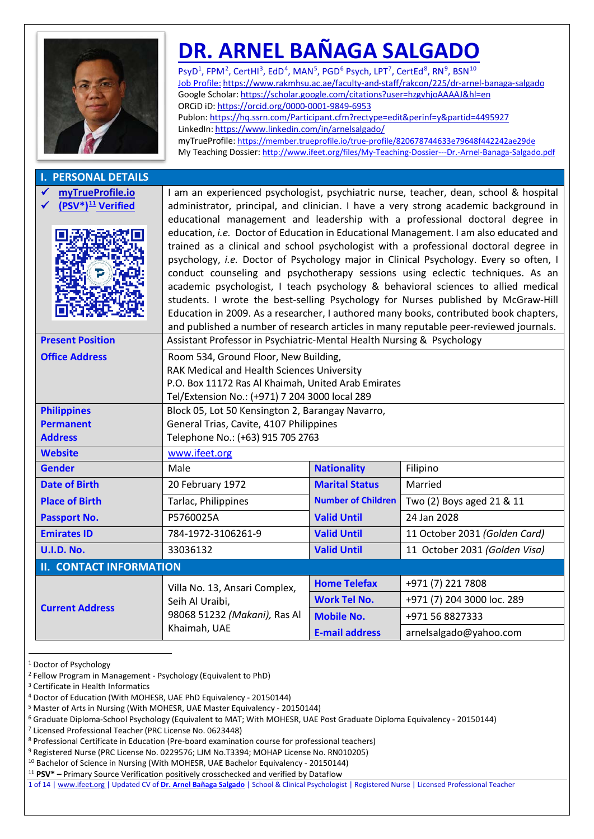# **[DR. ARNEL BAÑAGA SALGADO](https://member.trueprofile.io/true-profile/820678744633e79648f442242ae29de)**

PsyD<sup>[1](#page-0-0)</sup>, FPM<sup>[2](#page-0-1)</sup>, CertHI<sup>[3](#page-0-2)</sup>, EdD<sup>[4](#page-0-3)</sup>, MAN<sup>[5](#page-0-4)</sup>, PGD<sup>[6](#page-0-5)</sup> Psych, LPT<sup>7</sup>, CertEd<sup>[8](#page-0-7)</sup>, RN<sup>[9](#page-0-8)</sup>, BSN<sup>[10](#page-0-9)</sup> Job Profile: <https://www.rakmhsu.ac.ae/faculty-and-staff/rakcon/225/dr-arnel-banaga-salgado> [Google Scholar:](https://scholar.google.com/citations?user=hzgvhjoAAAAJ&hl=en) <https://scholar.google.com/citations?user=hzgvhjoAAAAJ&hl=en> ORCiD iD: <https://orcid.org/0000-0001-9849-6953> <Publon:> <https://hq.ssrn.com/Participant.cfm?rectype=edit&perinf=y&partid=4495927> [LinkedIn:](http://arnelsalgado.com/) <https://www.linkedin.com/in/arnelsalgado/> myTrueProfile: <https://member.trueprofile.io/true-profile/820678744633e79648f442242ae29de> My Teaching Dossier: <http://www.ifeet.org/files/My-Teaching-Dossier---Dr.-Arnel-Banaga-Salgado.pdf>

| <b>I. PERSONAL DETAILS</b>                        |                                                                                                                                                                                                                                                                                                                                                                                                                                                                                                                                                                                                                                                                                                                                                                                                                                                                                                                                                                                       |                           |                               |  |  |
|---------------------------------------------------|---------------------------------------------------------------------------------------------------------------------------------------------------------------------------------------------------------------------------------------------------------------------------------------------------------------------------------------------------------------------------------------------------------------------------------------------------------------------------------------------------------------------------------------------------------------------------------------------------------------------------------------------------------------------------------------------------------------------------------------------------------------------------------------------------------------------------------------------------------------------------------------------------------------------------------------------------------------------------------------|---------------------------|-------------------------------|--|--|
| myTrueProfile.io<br>(PSV*) <sup>11</sup> Verified | I am an experienced psychologist, psychiatric nurse, teacher, dean, school & hospital<br>administrator, principal, and clinician. I have a very strong academic background in<br>educational management and leadership with a professional doctoral degree in<br>education, i.e. Doctor of Education in Educational Management. I am also educated and<br>trained as a clinical and school psychologist with a professional doctoral degree in<br>psychology, i.e. Doctor of Psychology major in Clinical Psychology. Every so often, I<br>conduct counseling and psychotherapy sessions using eclectic techniques. As an<br>academic psychologist, I teach psychology & behavioral sciences to allied medical<br>students. I wrote the best-selling Psychology for Nurses published by McGraw-Hill<br>Education in 2009. As a researcher, I authored many books, contributed book chapters,<br>and published a number of research articles in many reputable peer-reviewed journals. |                           |                               |  |  |
| <b>Present Position</b>                           | Assistant Professor in Psychiatric-Mental Health Nursing & Psychology                                                                                                                                                                                                                                                                                                                                                                                                                                                                                                                                                                                                                                                                                                                                                                                                                                                                                                                 |                           |                               |  |  |
| <b>Office Address</b>                             | Room 534, Ground Floor, New Building,<br>RAK Medical and Health Sciences University<br>P.O. Box 11172 Ras Al Khaimah, United Arab Emirates<br>Tel/Extension No.: (+971) 7 204 3000 local 289                                                                                                                                                                                                                                                                                                                                                                                                                                                                                                                                                                                                                                                                                                                                                                                          |                           |                               |  |  |
| <b>Philippines</b>                                | Block 05, Lot 50 Kensington 2, Barangay Navarro,                                                                                                                                                                                                                                                                                                                                                                                                                                                                                                                                                                                                                                                                                                                                                                                                                                                                                                                                      |                           |                               |  |  |
| <b>Permanent</b>                                  | General Trias, Cavite, 4107 Philippines                                                                                                                                                                                                                                                                                                                                                                                                                                                                                                                                                                                                                                                                                                                                                                                                                                                                                                                                               |                           |                               |  |  |
| <b>Address</b>                                    | Telephone No.: (+63) 915 705 2763                                                                                                                                                                                                                                                                                                                                                                                                                                                                                                                                                                                                                                                                                                                                                                                                                                                                                                                                                     |                           |                               |  |  |
| <b>Website</b>                                    | www.ifeet.org                                                                                                                                                                                                                                                                                                                                                                                                                                                                                                                                                                                                                                                                                                                                                                                                                                                                                                                                                                         |                           |                               |  |  |
| <b>Gender</b>                                     | Male                                                                                                                                                                                                                                                                                                                                                                                                                                                                                                                                                                                                                                                                                                                                                                                                                                                                                                                                                                                  | <b>Nationality</b>        | Filipino                      |  |  |
| <b>Date of Birth</b>                              | 20 February 1972                                                                                                                                                                                                                                                                                                                                                                                                                                                                                                                                                                                                                                                                                                                                                                                                                                                                                                                                                                      | <b>Marital Status</b>     | Married                       |  |  |
| <b>Place of Birth</b>                             | Tarlac, Philippines                                                                                                                                                                                                                                                                                                                                                                                                                                                                                                                                                                                                                                                                                                                                                                                                                                                                                                                                                                   | <b>Number of Children</b> | Two (2) Boys aged 21 & 11     |  |  |
| <b>Passport No.</b>                               | P5760025A                                                                                                                                                                                                                                                                                                                                                                                                                                                                                                                                                                                                                                                                                                                                                                                                                                                                                                                                                                             | <b>Valid Until</b>        | 24 Jan 2028                   |  |  |
| <b>Emirates ID</b>                                | 784-1972-3106261-9                                                                                                                                                                                                                                                                                                                                                                                                                                                                                                                                                                                                                                                                                                                                                                                                                                                                                                                                                                    | <b>Valid Until</b>        | 11 October 2031 (Golden Card) |  |  |
| <b>U.I.D. No.</b>                                 | 33036132                                                                                                                                                                                                                                                                                                                                                                                                                                                                                                                                                                                                                                                                                                                                                                                                                                                                                                                                                                              | <b>Valid Until</b>        | 11 October 2031 (Golden Visa) |  |  |
| <b>II. CONTACT INFORMATION</b>                    |                                                                                                                                                                                                                                                                                                                                                                                                                                                                                                                                                                                                                                                                                                                                                                                                                                                                                                                                                                                       |                           |                               |  |  |
|                                                   | Villa No. 13, Ansari Complex,                                                                                                                                                                                                                                                                                                                                                                                                                                                                                                                                                                                                                                                                                                                                                                                                                                                                                                                                                         | <b>Home Telefax</b>       | +971 (7) 221 7808             |  |  |
|                                                   | Seih Al Uraibi,                                                                                                                                                                                                                                                                                                                                                                                                                                                                                                                                                                                                                                                                                                                                                                                                                                                                                                                                                                       | <b>Work Tel No.</b>       | +971 (7) 204 3000 loc. 289    |  |  |
| <b>Current Address</b>                            | 98068 51232 (Makani), Ras Al                                                                                                                                                                                                                                                                                                                                                                                                                                                                                                                                                                                                                                                                                                                                                                                                                                                                                                                                                          | <b>Mobile No.</b>         | +971 56 8827333               |  |  |
|                                                   | Khaimah, UAE                                                                                                                                                                                                                                                                                                                                                                                                                                                                                                                                                                                                                                                                                                                                                                                                                                                                                                                                                                          | <b>E-mail address</b>     | arnelsalgado@yahoo.com        |  |  |

<span id="page-0-0"></span><sup>&</sup>lt;sup>1</sup> Doctor of Psychology

<span id="page-0-1"></span><sup>2</sup> Fellow Program in Management - Psychology (Equivalent to PhD)

<span id="page-0-2"></span><sup>3</sup> Certificate in Health Informatics

<span id="page-0-3"></span><sup>4</sup> Doctor of Education (With MOHESR, UAE PhD Equivalency - 20150144)

<span id="page-0-4"></span><sup>5</sup> Master of Arts in Nursing (With MOHESR, UAE Master Equivalency - 20150144)

<span id="page-0-5"></span><sup>6</sup> Graduate Diploma-School Psychology (Equivalent to MAT; With MOHESR, UAE Post Graduate Diploma Equivalency - 20150144)

<span id="page-0-6"></span><sup>7</sup> Licensed Professional Teacher (PRC License No. 0623448)

<span id="page-0-7"></span><sup>8</sup> Professional Certificate in Education (Pre-board examination course for professional teachers)

<span id="page-0-8"></span><sup>9</sup> Registered Nurse (PRC License No. 0229576; LJM No.T3394; MOHAP License No. RN010205)

<span id="page-0-9"></span><sup>10</sup> Bachelor of Science in Nursing (With MOHESR, UAE Bachelor Equivalency - 20150144)

<span id="page-0-10"></span><sup>11</sup> **PSV\* –** Primary Source Verification positively crosschecked and verified by Dataflow

<sup>1</sup> of 14 | www.ifeet.org | Updated CV of **[Dr. Arnel Bañaga Salgado](https://member.trueprofile.io/true-profile/820678744633e79648f442242ae29de)** | School & Clinical Psychologist | Registered Nurse | Licensed Professional Teacher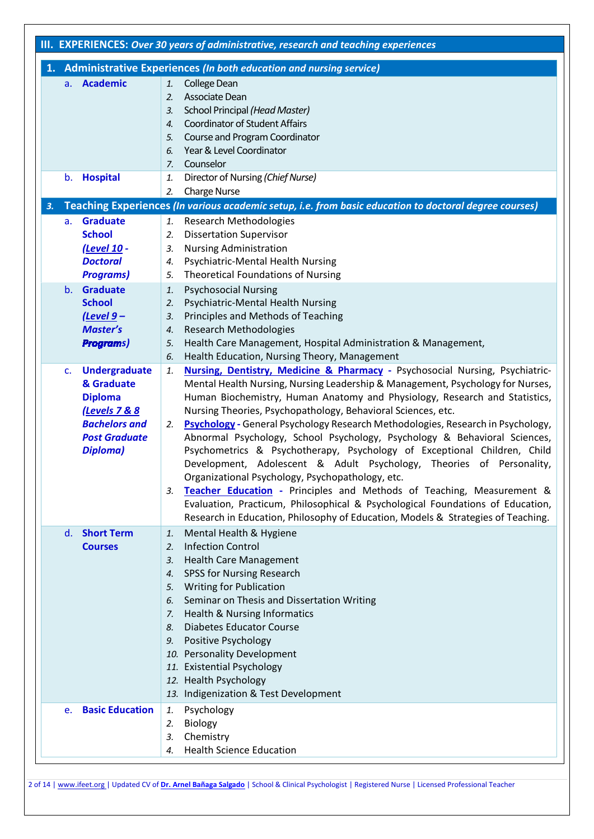|                                                                                                                                             | III. EXPERIENCES: Over 30 years of administrative, research and teaching experiences                                                                                                                                                                                                                                                                                                                                                                                                                                                                                                                                                                                                                                                                                                                                                                            |  |  |  |
|---------------------------------------------------------------------------------------------------------------------------------------------|-----------------------------------------------------------------------------------------------------------------------------------------------------------------------------------------------------------------------------------------------------------------------------------------------------------------------------------------------------------------------------------------------------------------------------------------------------------------------------------------------------------------------------------------------------------------------------------------------------------------------------------------------------------------------------------------------------------------------------------------------------------------------------------------------------------------------------------------------------------------|--|--|--|
|                                                                                                                                             | 1. Administrative Experiences (In both education and nursing service)                                                                                                                                                                                                                                                                                                                                                                                                                                                                                                                                                                                                                                                                                                                                                                                           |  |  |  |
| a. Academic                                                                                                                                 | College Dean<br>1.<br>Associate Dean<br>$\overline{2}$ .<br>School Principal (Head Master)<br>3.<br><b>Coordinator of Student Affairs</b><br>4.<br>Course and Program Coordinator<br>5.<br>Year & Level Coordinator<br>6.                                                                                                                                                                                                                                                                                                                                                                                                                                                                                                                                                                                                                                       |  |  |  |
| b. Hospital                                                                                                                                 | Counselor<br>7.<br>Director of Nursing (Chief Nurse)<br>1.<br><b>Charge Nurse</b><br>2.                                                                                                                                                                                                                                                                                                                                                                                                                                                                                                                                                                                                                                                                                                                                                                         |  |  |  |
| 3.                                                                                                                                          | Teaching Experiences (In various academic setup, i.e. from basic education to doctoral degree courses)                                                                                                                                                                                                                                                                                                                                                                                                                                                                                                                                                                                                                                                                                                                                                          |  |  |  |
| <b>Graduate</b><br>а.<br><b>School</b><br>(Level 10 -<br><b>Doctoral</b><br><b>Programs)</b><br><b>Graduate</b><br>$b_{-}$<br><b>School</b> | <b>Research Methodologies</b><br>1.<br><b>Dissertation Supervisor</b><br>2.<br><b>Nursing Administration</b><br>3.<br>Psychiatric-Mental Health Nursing<br>4.<br><b>Theoretical Foundations of Nursing</b><br>5.<br><b>Psychosocial Nursing</b><br>1.<br>Psychiatric-Mental Health Nursing<br>2.                                                                                                                                                                                                                                                                                                                                                                                                                                                                                                                                                                |  |  |  |
| $(Level 9 -$<br><b>Master's</b><br><b>Programs)</b><br><b>Undergraduate</b><br>c.                                                           | Principles and Methods of Teaching<br>3.<br><b>Research Methodologies</b><br>4.<br>Health Care Management, Hospital Administration & Management,<br>5.<br>Health Education, Nursing Theory, Management<br>6.<br>Nursing, Dentistry, Medicine & Pharmacy - Psychosocial Nursing, Psychiatric-<br>1.                                                                                                                                                                                                                                                                                                                                                                                                                                                                                                                                                              |  |  |  |
| & Graduate<br><b>Diploma</b><br>(Levels 7 & 8<br><b>Bachelors and</b><br><b>Post Graduate</b><br>Diploma)                                   | Mental Health Nursing, Nursing Leadership & Management, Psychology for Nurses,<br>Human Biochemistry, Human Anatomy and Physiology, Research and Statistics,<br>Nursing Theories, Psychopathology, Behavioral Sciences, etc.<br>Psychology - General Psychology Research Methodologies, Research in Psychology,<br>2.<br>Abnormal Psychology, School Psychology, Psychology & Behavioral Sciences,<br>Psychometrics & Psychotherapy, Psychology of Exceptional Children, Child<br>Development, Adolescent & Adult Psychology, Theories of Personality,<br>Organizational Psychology, Psychopathology, etc.<br>Teacher Education - Principles and Methods of Teaching, Measurement &<br>3.<br>Evaluation, Practicum, Philosophical & Psychological Foundations of Education,<br>Research in Education, Philosophy of Education, Models & Strategies of Teaching. |  |  |  |
| d. Short Term<br><b>Courses</b>                                                                                                             | Mental Health & Hygiene<br>1.<br><b>Infection Control</b><br>2.<br><b>Health Care Management</b><br>3.<br>SPSS for Nursing Research<br>4.<br><b>Writing for Publication</b><br>5.<br>Seminar on Thesis and Dissertation Writing<br>6.<br>Health & Nursing Informatics<br>7.<br><b>Diabetes Educator Course</b><br>8.<br>Positive Psychology<br>9.<br>10. Personality Development<br>11. Existential Psychology<br>12. Health Psychology<br>13. Indigenization & Test Development                                                                                                                                                                                                                                                                                                                                                                                |  |  |  |
| <b>Basic Education</b><br>e.                                                                                                                | Psychology<br>1.<br>Biology<br>2.<br>Chemistry<br>з.<br><b>Health Science Education</b><br>4.                                                                                                                                                                                                                                                                                                                                                                                                                                                                                                                                                                                                                                                                                                                                                                   |  |  |  |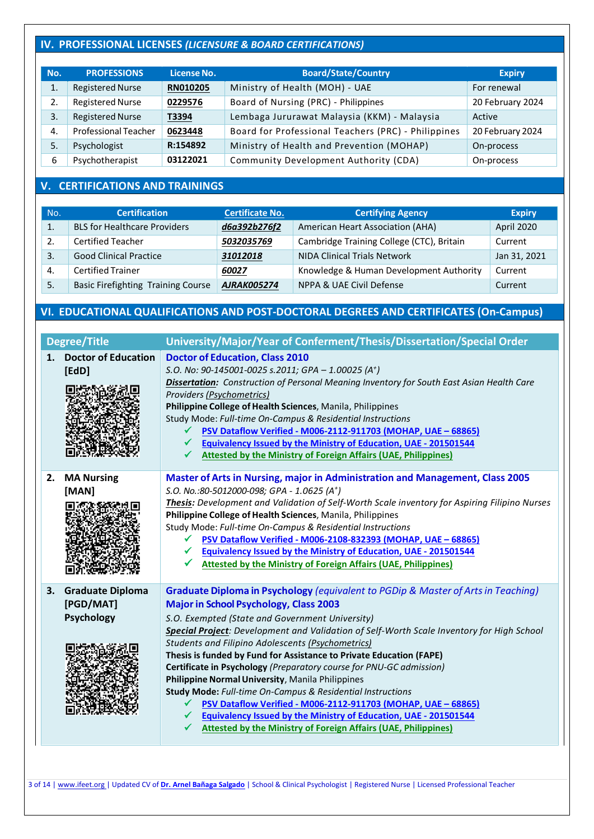# **IV. PROFESSIONAL LICENSES** *(LICENSURE & BOARD CERTIFICATIONS)*

| No. | <b>PROFESSIONS</b>          | License No. | <b>Board/State/Country</b>                          | <b>Expiry</b>    |
|-----|-----------------------------|-------------|-----------------------------------------------------|------------------|
|     | <b>Registered Nurse</b>     | RN010205    | Ministry of Health (MOH) - UAE                      | For renewal      |
|     | <b>Registered Nurse</b>     | 0229576     | Board of Nursing (PRC) - Philippines                | 20 February 2024 |
| 3.  | <b>Registered Nurse</b>     | T3394       | Lembaga Jururawat Malaysia (KKM) - Malaysia         | Active           |
| 4.  | <b>Professional Teacher</b> | 0623448     | Board for Professional Teachers (PRC) - Philippines | 20 February 2024 |
| 5.  | Psychologist                | R:154892    | Ministry of Health and Prevention (MOHAP)           | On-process       |
| 6   | Psychotherapist             | 03122021    | Community Development Authority (CDA)               | On-process       |

# **V. CERTIFICATIONS AND TRAININGS**

| No. | <b>Certification</b>                      | <b>Certificate No.</b> | <b>Certifying Agency</b>                  | <b>Expiry</b> |
|-----|-------------------------------------------|------------------------|-------------------------------------------|---------------|
|     | <b>BLS for Healthcare Providers</b>       | d6a392b276f2           | American Heart Association (AHA)          | April 2020    |
| 2.  | <b>Certified Teacher</b>                  | 5032035769             | Cambridge Training College (CTC), Britain | Current       |
| 3.  | <b>Good Clinical Practice</b>             | 31012018               | <b>NIDA Clinical Trials Network</b>       | Jan 31, 2021  |
| -4. | <b>Certified Trainer</b>                  | 60027                  | Knowledge & Human Development Authority   | Current       |
| 5.  | <b>Basic Firefighting Training Course</b> | <b>AJRAK005274</b>     | NPPA & UAE Civil Defense                  | Current       |

# **VI. EDUCATIONAL QUALIFICATIONS AND POST-DOCTORAL DEGREES AND CERTIFICATES (On-Campus)**

|    | <b>Degree/Title</b>                                       | University/Major/Year of Conferment/Thesis/Dissertation/Special Order                                                                                                                                                                                                                                                                                                                                                                                                                                                                                                                                                                                                                                                                                                                                                               |
|----|-----------------------------------------------------------|-------------------------------------------------------------------------------------------------------------------------------------------------------------------------------------------------------------------------------------------------------------------------------------------------------------------------------------------------------------------------------------------------------------------------------------------------------------------------------------------------------------------------------------------------------------------------------------------------------------------------------------------------------------------------------------------------------------------------------------------------------------------------------------------------------------------------------------|
|    | 1. Doctor of Education<br>[EdD]                           | <b>Doctor of Education, Class 2010</b><br>S.O. No: 90-145001-0025 s.2011; GPA - 1.00025 (A <sup>+</sup> )<br>Dissertation: Construction of Personal Meaning Inventory for South East Asian Health Care<br>Providers (Psychometrics)<br>Philippine College of Health Sciences, Manila, Philippines<br>Study Mode: Full-time On-Campus & Residential Instructions<br>PSV Dataflow Verified - M006-2112-911703 (MOHAP, UAE - 68865)<br><b>Equivalency Issued by the Ministry of Education, UAE - 201501544</b><br><b>Attested by the Ministry of Foreign Affairs (UAE, Philippines)</b>                                                                                                                                                                                                                                                |
|    | 2. MA Nursing<br>[MAN]                                    | Master of Arts in Nursing, major in Administration and Management, Class 2005<br>S.O. No.:80-5012000-098; GPA - 1.0625 (A <sup>+</sup> )<br>Thesis: Development and Validation of Self-Worth Scale inventory for Aspiring Filipino Nurses<br>Philippine College of Health Sciences, Manila, Philippines<br>Study Mode: Full-time On-Campus & Residential Instructions<br>PSV Dataflow Verified - M006-2108-832393 (MOHAP, UAE - 68865)<br>✔<br><b>Equivalency Issued by the Ministry of Education, UAE - 201501544</b><br>✓<br><b>Attested by the Ministry of Foreign Affairs (UAE, Philippines)</b>                                                                                                                                                                                                                                |
| 3. | <b>Graduate Diploma</b><br>[PGD/MAT]<br><b>Psychology</b> | Graduate Diploma in Psychology (equivalent to PGDip & Master of Arts in Teaching)<br><b>Major in School Psychology, Class 2003</b><br>S.O. Exempted (State and Government University)<br>Special Project: Development and Validation of Self-Worth Scale Inventory for High School<br><b>Students and Filipino Adolescents (Psychometrics)</b><br>Thesis is funded by Fund for Assistance to Private Education (FAPE)<br>Certificate in Psychology (Preparatory course for PNU-GC admission)<br>Philippine Normal University, Manila Philippines<br>Study Mode: Full-time On-Campus & Residential Instructions<br>PSV Dataflow Verified - M006-2112-911703 (MOHAP, UAE - 68865)<br><b>Equivalency Issued by the Ministry of Education, UAE - 201501544</b><br><b>Attested by the Ministry of Foreign Affairs (UAE, Philippines)</b> |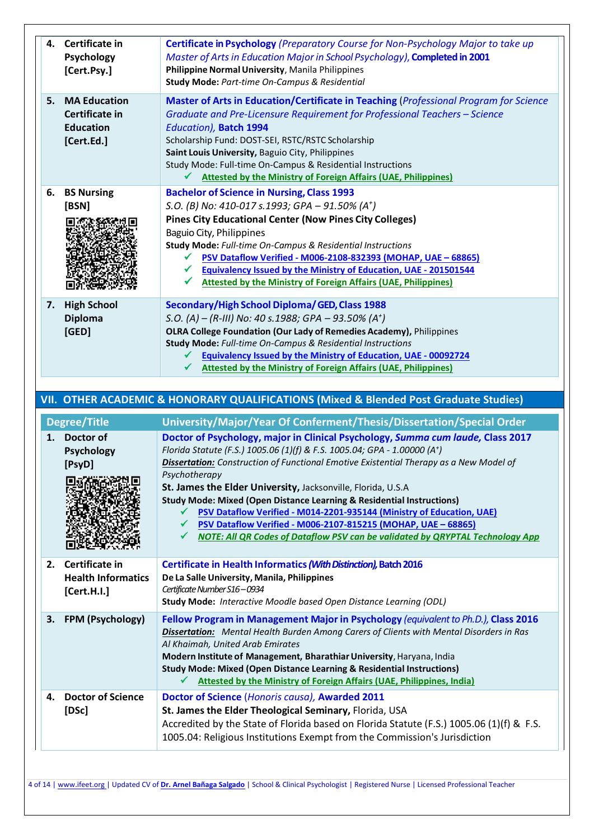| 4. | Certificate in            | Certificate in Psychology (Preparatory Course for Non-Psychology Major to take up                                                                                     |
|----|---------------------------|-----------------------------------------------------------------------------------------------------------------------------------------------------------------------|
|    | Psychology                | Master of Arts in Education Major in School Psychology), Completed in 2001                                                                                            |
|    | [Cert.Psy.]               | Philippine Normal University, Manila Philippines                                                                                                                      |
|    |                           | Study Mode: Part-time On-Campus & Residential                                                                                                                         |
| 5. | <b>MA Education</b>       | Master of Arts in Education/Certificate in Teaching (Professional Program for Science                                                                                 |
|    | Certificate in            | Graduate and Pre-Licensure Requirement for Professional Teachers - Science                                                                                            |
|    | <b>Education</b>          | Education), Batch 1994                                                                                                                                                |
|    | [Cert.Ed.]                | Scholarship Fund: DOST-SEI, RSTC/RSTC Scholarship                                                                                                                     |
|    |                           | Saint Louis University, Baguio City, Philippines                                                                                                                      |
|    |                           | Study Mode: Full-time On-Campus & Residential Instructions                                                                                                            |
|    |                           | <b>Attested by the Ministry of Foreign Affairs (UAE, Philippines)</b>                                                                                                 |
| 6. | <b>BS Nursing</b>         | <b>Bachelor of Science in Nursing, Class 1993</b>                                                                                                                     |
|    | [BSN]                     | S.O. (B) No: 410-017 s.1993; GPA - 91.50% (A <sup>+</sup> )                                                                                                           |
|    |                           | <b>Pines City Educational Center (Now Pines City Colleges)</b>                                                                                                        |
|    |                           | Baguio City, Philippines                                                                                                                                              |
|    |                           | Study Mode: Full-time On-Campus & Residential Instructions                                                                                                            |
|    |                           | PSV Dataflow Verified - M006-2108-832393 (MOHAP, UAE - 68865)                                                                                                         |
|    |                           | Equivalency Issued by the Ministry of Education, UAE - 201501544<br>✔                                                                                                 |
|    |                           | <b>Attested by the Ministry of Foreign Affairs (UAE, Philippines)</b>                                                                                                 |
| 7. | <b>High School</b>        | Secondary/High School Diploma/GED, Class 1988                                                                                                                         |
|    | <b>Diploma</b>            | S.O. (A) - (R-III) No: 40 s.1988; GPA - 93.50% (A <sup>+</sup> )                                                                                                      |
|    | [GED]                     | OLRA College Foundation (Our Lady of Remedies Academy), Philippines                                                                                                   |
|    |                           | Study Mode: Full-time On-Campus & Residential Instructions                                                                                                            |
|    |                           | <b>Equivalency Issued by the Ministry of Education, UAE - 00092724</b><br>v                                                                                           |
|    |                           | <b>Attested by the Ministry of Foreign Affairs (UAE, Philippines)</b>                                                                                                 |
|    |                           |                                                                                                                                                                       |
|    |                           |                                                                                                                                                                       |
|    |                           |                                                                                                                                                                       |
|    |                           | VII. OTHER ACADEMIC & HONORARY QUALIFICATIONS (Mixed & Blended Post Graduate Studies)                                                                                 |
|    | Degree/Title              | University/Major/Year Of Conferment/Thesis/Dissertation/Special Order                                                                                                 |
| 1. | Doctor of                 | Doctor of Psychology, major in Clinical Psychology, Summa cum laude, Class 2017                                                                                       |
|    | <b>Psychology</b>         | Florida Statute (F.S.) 1005.06 (1)(f) & F.S. 1005.04; GPA - 1.00000 (A <sup>+</sup> )                                                                                 |
|    | [PsyD]                    | Dissertation: Construction of Functional Emotive Existential Therapy as a New Model of                                                                                |
|    |                           | Psychotherapy                                                                                                                                                         |
|    |                           | St. James the Elder University, Jacksonville, Florida, U.S.A                                                                                                          |
|    |                           | <b>Study Mode: Mixed (Open Distance Learning &amp; Residential Instructions)</b>                                                                                      |
|    |                           | PSV Dataflow Verified - M014-2201-935144 (Ministry of Education, UAE)                                                                                                 |
|    |                           | PSV Dataflow Verified - M006-2107-815215 (MOHAP, UAE - 68865)<br>✔                                                                                                    |
|    |                           | NOTE: All QR Codes of Dataflow PSV can be validated by QRYPTAL Technology App<br>$\checkmark$                                                                         |
|    |                           |                                                                                                                                                                       |
| 2. | Certificate in            | Certificate in Health Informatics (With Distinction), Batch 2016                                                                                                      |
|    | <b>Health Informatics</b> | De La Salle University, Manila, Philippines                                                                                                                           |
|    | [Cert.H.I.]               | Certificate Number S16-0934<br>Study Mode: Interactive Moodle based Open Distance Learning (ODL)                                                                      |
|    |                           |                                                                                                                                                                       |
| 3. | FPM (Psychology)          | Fellow Program in Management Major in Psychology (equivalent to Ph.D.), Class 2016                                                                                    |
|    |                           | <b>Dissertation:</b> Mental Health Burden Among Carers of Clients with Mental Disorders in Ras                                                                        |
|    |                           | Al Khaimah, United Arab Emirates                                                                                                                                      |
|    |                           | Modern Institute of Management, Bharathiar University, Haryana, India<br><b>Study Mode: Mixed (Open Distance Learning &amp; Residential Instructions)</b>             |
|    |                           | <b>Attested by the Ministry of Foreign Affairs (UAE, Philippines, India)</b>                                                                                          |
| 4. |                           |                                                                                                                                                                       |
|    | <b>Doctor of Science</b>  | Doctor of Science (Honoris causa), Awarded 2011                                                                                                                       |
|    | [DSc]                     | St. James the Elder Theological Seminary, Florida, USA                                                                                                                |
|    |                           | Accredited by the State of Florida based on Florida Statute (F.S.) 1005.06 (1)(f) & F.S.<br>1005.04: Religious Institutions Exempt from the Commission's Jurisdiction |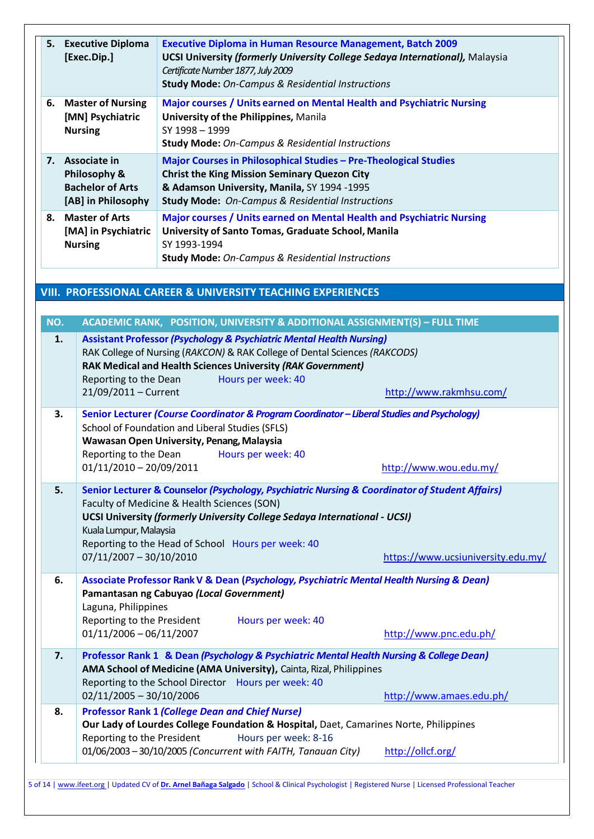| 5.        | <b>Executive Diploma</b><br>[Exec.Dip.]                                        | <b>Executive Diploma in Human Resource Management, Batch 2009</b><br><b>UCSI University (formerly University College Sedaya International), Malaysia</b><br>Certificate Number 1877, July 2009<br><b>Study Mode:</b> On-Campus & Residential Instructions                                                                        |                                                                                                                                      |
|-----------|--------------------------------------------------------------------------------|----------------------------------------------------------------------------------------------------------------------------------------------------------------------------------------------------------------------------------------------------------------------------------------------------------------------------------|--------------------------------------------------------------------------------------------------------------------------------------|
| 6.        | <b>Master of Nursing</b><br>[MN] Psychiatric<br><b>Nursing</b>                 | Major courses / Units earned on Mental Health and Psychiatric Nursing<br>University of the Philippines, Manila<br>SY 1998 - 1999<br><b>Study Mode: On-Campus &amp; Residential Instructions</b>                                                                                                                                  |                                                                                                                                      |
| 7.        | Associate in<br>Philosophy &<br><b>Bachelor of Arts</b><br>[AB] in Philosophy  | Major Courses in Philosophical Studies - Pre-Theological Studies<br><b>Christ the King Mission Seminary Quezon City</b><br>& Adamson University, Manila, SY 1994 -1995<br><b>Study Mode: On-Campus &amp; Residential Instructions</b>                                                                                            |                                                                                                                                      |
| 8.        | <b>Master of Arts</b><br>[MA] in Psychiatric<br><b>Nursing</b>                 | Major courses / Units earned on Mental Health and Psychiatric Nursing<br>University of Santo Tomas, Graduate School, Manila<br>SY 1993-1994<br><b>Study Mode: On-Campus &amp; Residential Instructions</b>                                                                                                                       |                                                                                                                                      |
|           |                                                                                | <b>VIII. PROFESSIONAL CAREER &amp; UNIVERSITY TEACHING EXPERIENCES</b>                                                                                                                                                                                                                                                           |                                                                                                                                      |
| NO.<br>1. | Reporting to the Dean<br>21/09/2011 - Current                                  | ACADEMIC RANK, POSITION, UNIVERSITY & ADDITIONAL ASSIGNMENT(S) - FULL TIME<br><b>Assistant Professor (Psychology &amp; Psychiatric Mental Health Nursing)</b><br>RAK College of Nursing (RAKCON) & RAK College of Dental Sciences (RAKCODS)<br>RAK Medical and Health Sciences University (RAK Government)<br>Hours per week: 40 | http://www.rakmhsu.com/                                                                                                              |
| 3.        | Reporting to the Dean<br>01/11/2010 - 20/09/2011                               | Senior Lecturer (Course Coordinator & Program Coordinator - Liberal Studies and Psychology)<br>School of Foundation and Liberal Studies (SFLS)<br>Wawasan Open University, Penang, Malaysia<br>Hours per week: 40                                                                                                                | http://www.wou.edu.my/                                                                                                               |
| 5.        | Kuala Lumpur, Malaysia<br>$07/11/2007 - 30/10/2010$                            | Faculty of Medicine & Health Sciences (SON)<br>UCSI University (formerly University College Sedaya International - UCSI)<br>Reporting to the Head of School Hours per week: 40                                                                                                                                                   | Senior Lecturer & Counselor (Psychology, Psychiatric Nursing & Coordinator of Student Affairs)<br>https://www.ucsiuniversity.edu.my/ |
| 6.        | Laguna, Philippines<br>Reporting to the President<br>$01/11/2006 - 06/11/2007$ | Associate Professor Rank V & Dean (Psychology, Psychiatric Mental Health Nursing & Dean)<br>Pamantasan ng Cabuyao (Local Government)<br>Hours per week: 40                                                                                                                                                                       | http://www.pnc.edu.ph/                                                                                                               |
| 7.        | $02/11/2005 - 30/10/2006$                                                      | Professor Rank 1 & Dean (Psychology & Psychiatric Mental Health Nursing & College Dean)<br>AMA School of Medicine (AMA University), Cainta, Rizal, Philippines<br>Reporting to the School Director Hours per week: 40                                                                                                            | http://www.amaes.edu.ph/                                                                                                             |
| 8.        |                                                                                | <b>Professor Rank 1 (College Dean and Chief Nurse)</b>                                                                                                                                                                                                                                                                           |                                                                                                                                      |

**Our Lady of Lourdes College Foundation & Hospital,** Daet, Camarines Norte, Philippines Reporting to the President Hours per week: 8-16 01/06/2003 – 30/10/2005 *(Concurrent with FAITH, Tanauan City)* <http://ollcf.org/>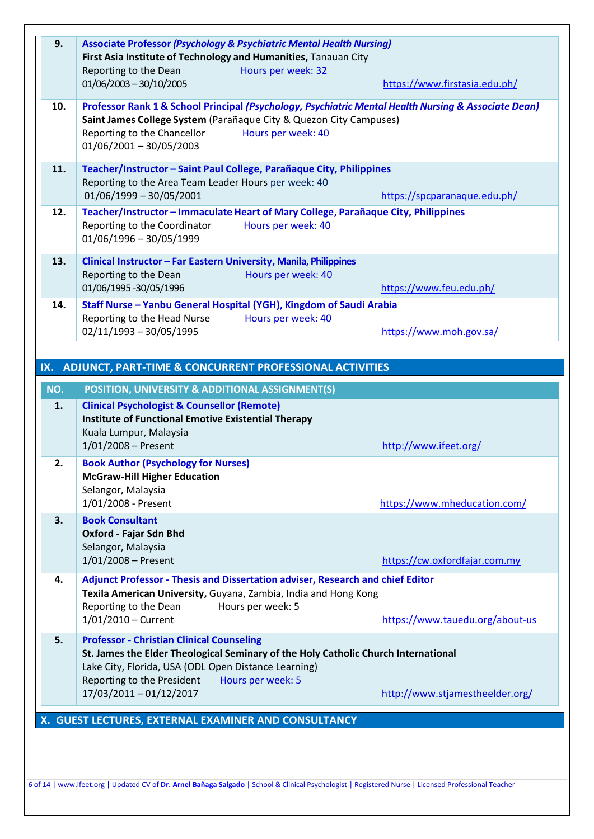| 9.  | <b>Associate Professor (Psychology &amp; Psychiatric Mental Health Nursing)</b><br>First Asia Institute of Technology and Humanities, Tanauan City<br>Reporting to the Dean<br>$01/06/2003 - 30/10/2005$                                                                   | Hours per week: 32<br>https://www.firstasia.edu.ph/                                                                        |
|-----|----------------------------------------------------------------------------------------------------------------------------------------------------------------------------------------------------------------------------------------------------------------------------|----------------------------------------------------------------------------------------------------------------------------|
| 10. | Saint James College System (Parañaque City & Quezon City Campuses)<br>Reporting to the Chancellor<br>$01/06/2001 - 30/05/2003$                                                                                                                                             | Professor Rank 1 & School Principal (Psychology, Psychiatric Mental Health Nursing & Associate Dean)<br>Hours per week: 40 |
| 11. | Teacher/Instructor - Saint Paul College, Parañaque City, Philippines<br>Reporting to the Area Team Leader Hours per week: 40<br>$01/06/1999 - 30/05/2001$                                                                                                                  | https://spcparanaque.edu.ph/                                                                                               |
| 12. | Reporting to the Coordinator<br>$01/06/1996 - 30/05/1999$                                                                                                                                                                                                                  | Teacher/Instructor - Immaculate Heart of Mary College, Parañaque City, Philippines<br>Hours per week: 40                   |
| 13. | Clinical Instructor - Far Eastern University, Manila, Philippines<br>Reporting to the Dean<br>01/06/1995 -30/05/1996                                                                                                                                                       | Hours per week: 40<br>https://www.feu.edu.ph/                                                                              |
| 14. | Staff Nurse - Yanbu General Hospital (YGH), Kingdom of Saudi Arabia<br>Reporting to the Head Nurse<br>$02/11/1993 - 30/05/1995$                                                                                                                                            | Hours per week: 40<br>https://www.moh.gov.sa/                                                                              |
|     | IX. ADJUNCT, PART-TIME & CONCURRENT PROFESSIONAL ACTIVITIES                                                                                                                                                                                                                |                                                                                                                            |
|     |                                                                                                                                                                                                                                                                            |                                                                                                                            |
| NO. | POSITION, UNIVERSITY & ADDITIONAL ASSIGNMENT(S)                                                                                                                                                                                                                            |                                                                                                                            |
| 1.  | <b>Clinical Psychologist &amp; Counsellor (Remote)</b><br><b>Institute of Functional Emotive Existential Therapy</b><br>Kuala Lumpur, Malaysia<br>$1/01/2008 -$ Present                                                                                                    | http://www.ifeet.org/                                                                                                      |
| 2.  | <b>Book Author (Psychology for Nurses)</b><br><b>McGraw-Hill Higher Education</b><br>Selangor, Malaysia<br>1/01/2008 - Present                                                                                                                                             | https://www.mheducation.com/                                                                                               |
| 3.  | <b>Book Consultant</b><br>Oxford - Fajar Sdn Bhd<br>Selangor, Malaysia<br>$1/01/2008 -$ Present                                                                                                                                                                            | https://cw.oxfordfajar.com.my                                                                                              |
| 4.  | Adjunct Professor - Thesis and Dissertation adviser, Research and chief Editor<br>Texila American University, Guyana, Zambia, India and Hong Kong<br>Reporting to the Dean<br>Hours per week: 5<br>$1/01/2010$ – Current                                                   | https://www.tauedu.org/about-us                                                                                            |
| 5.  | <b>Professor - Christian Clinical Counseling</b><br>St. James the Elder Theological Seminary of the Holy Catholic Church International<br>Lake City, Florida, USA (ODL Open Distance Learning)<br>Reporting to the President<br>Hours per week: 5<br>17/03/2011-01/12/2017 | http://www.stjamestheelder.org/                                                                                            |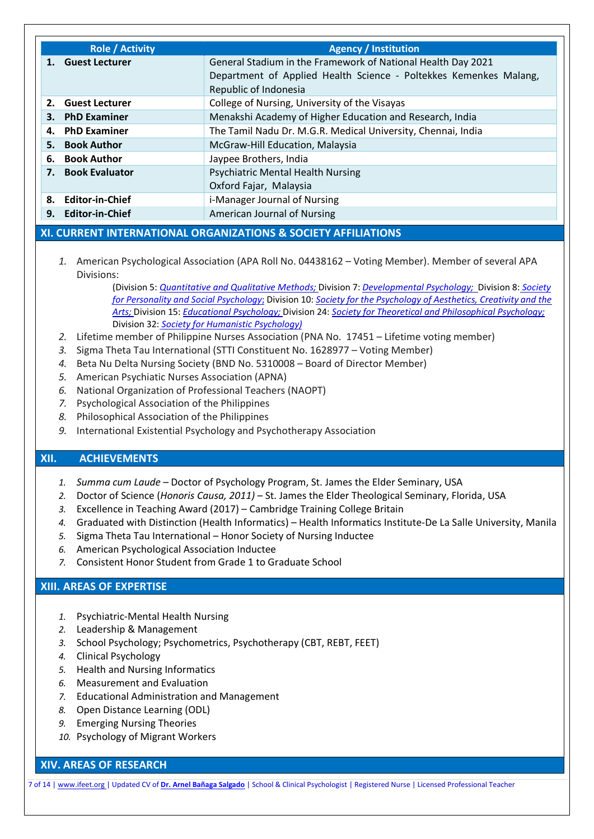|    | <b>Role / Activity</b>                                                            | <b>Agency / Institution</b>                                       |  |  |
|----|-----------------------------------------------------------------------------------|-------------------------------------------------------------------|--|--|
|    | General Stadium in the Framework of National Health Day 2021<br>1. Guest Lecturer |                                                                   |  |  |
|    |                                                                                   | Department of Applied Health Science - Poltekkes Kemenkes Malang, |  |  |
|    |                                                                                   | Republic of Indonesia                                             |  |  |
|    | 2. Guest Lecturer                                                                 | College of Nursing, University of the Visayas                     |  |  |
| 3. | <b>PhD Examiner</b>                                                               | Menakshi Academy of Higher Education and Research, India          |  |  |
|    | 4. PhD Examiner                                                                   | The Tamil Nadu Dr. M.G.R. Medical University, Chennai, India      |  |  |
|    | 5. Book Author                                                                    | McGraw-Hill Education, Malaysia                                   |  |  |
| 6. | <b>Book Author</b>                                                                | Jaypee Brothers, India                                            |  |  |
|    | 7. Book Evaluator                                                                 | <b>Psychiatric Mental Health Nursing</b>                          |  |  |
|    |                                                                                   | Oxford Fajar, Malaysia                                            |  |  |
|    | 8. Editor-in-Chief                                                                | i-Manager Journal of Nursing                                      |  |  |
| 9. | <b>Editor-in-Chief</b>                                                            | American Journal of Nursing                                       |  |  |

### **XI. CURRENT INTERNATIONAL ORGANIZATIONS & SOCIETY AFFILIATIONS**

*1.* American Psychological Association (APA Roll No. 04438162 – Voting Member). Member of several APA Divisions:

> (Division 5: *[Quantitative](http://www.apadivisions.org/division-5/index.aspx?_ga=2.62151659.653304037.1522249906-742087297.1521132264) and Qualitative Methods;* Division 7: *[Developmental](http://www.apadivisions.org/division-7/index.aspx?_ga=2.99228633.653304037.1522249906-742087297.1521132264) Psychology;* Division 8: *[Society](https://www.apa.org/about/division/div8-2012) for [Personality](https://www.apa.org/about/division/div8-2012) and Social Psychology*; Division 10: *Society for the [Psychology](http://www.div10.org/) of Aesthetics, Creativity and the [Arts;](http://www.div10.org/)* Division 15: *[Educational](https://apadiv15.org/) Psychology;* Division 24: *Society for Theoretical and [Philosophical](https://www.theoreticalpsychology.org/) Psychology;* Division 32: *Society for Humanistic [Psychology\)](http://www.apadivisions.org/division-32/index.aspx?_ga=2.103005511.653304037.1522249906-742087297.1521132264)*

- *2.* Lifetime member of Philippine Nurses Association (PNA No. 17451 Lifetime voting member)
- *3.* Sigma Theta Tau International (STTI Constituent No. 1628977 Voting Member)
- *4.* Beta Nu Delta Nursing Society (BND No. 5310008 Board of Director Member)
- *5.* American Psychiatic Nurses Association (APNA)
- *6.* National Organization of Professional Teachers (NAOPT)
- *7.* Psychological Association of the Philippines
- *8.* Philosophical Association of the Philippines
- *9.* International Existential Psychology and Psychotherapy Association

#### **XII. ACHIEVEMENTS**

- *1. Summa cum Laude –* Doctor of Psychology Program, St. James the Elder Seminary, USA
- *2.* Doctor of Science (*Honoris Causa, 2011)* St. James the Elder Theological Seminary, Florida, USA
- *3.* Excellence in Teaching Award (2017) Cambridge Training College Britain
- *4.* Graduated with Distinction (Health Informatics) Health Informatics Institute-De La Salle University, Manila
- *5.* Sigma Theta Tau International Honor Society of Nursing Inductee
- *6.* American Psychological Association Inductee
- *7.* Consistent Honor Student from Grade 1 to Graduate School

## **XIII. AREAS OF EXPERTISE**

- *1.* Psychiatric-Mental Health Nursing
- *2.* Leadership & Management
- *3.* School Psychology; Psychometrics, Psychotherapy (CBT, REBT, FEET)
- *4.* Clinical Psychology
- *5.* Health and Nursing Informatics
- *6.* Measurement and Evaluation
- *7.* Educational Administration and Management
- *8.* Open Distance Learning (ODL)
- *9.* Emerging Nursing Theories
- *10.* Psychology of Migrant Workers

#### **XIV. AREAS OF RESEARCH**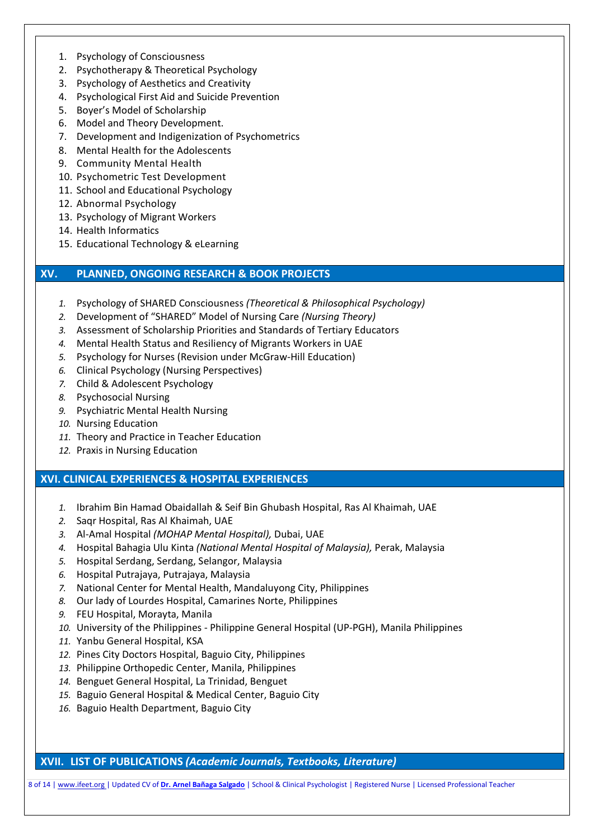- 1. Psychology of Consciousness
- 2. Psychotherapy & Theoretical Psychology
- 3. Psychology of Aesthetics and Creativity
- 4. Psychological First Aid and Suicide Prevention
- 5. Boyer's Model of Scholarship
- 6. Model and Theory Development.
- 7. Development and Indigenization of Psychometrics
- 8. Mental Health for the Adolescents
- 9. Community Mental Health
- 10. Psychometric Test Development
- 11. School and Educational Psychology
- 12. Abnormal Psychology
- 13. Psychology of Migrant Workers
- 14. Health Informatics
- 15. Educational Technology & eLearning

### **XV. PLANNED, ONGOING RESEARCH & BOOK PROJECTS**

- *1.* Psychology of SHARED Consciousness *(Theoretical & Philosophical Psychology)*
- *2.* Development of "SHARED" Model of Nursing Care *(Nursing Theory)*
- *3.* Assessment of Scholarship Priorities and Standards of Tertiary Educators
- *4.* Mental Health Status and Resiliency of Migrants Workers in UAE
- *5.* Psychology for Nurses (Revision under McGraw-Hill Education)
- *6.* Clinical Psychology (Nursing Perspectives)
- *7.* Child & Adolescent Psychology
- *8.* Psychosocial Nursing
- *9.* Psychiatric Mental Health Nursing
- *10.* Nursing Education
- *11.* Theory and Practice in Teacher Education
- *12.* Praxis in Nursing Education

### **XVI. CLINICAL EXPERIENCES & HOSPITAL EXPERIENCES**

- *1.* Ibrahim Bin Hamad Obaidallah & Seif Bin Ghubash Hospital, Ras Al Khaimah, UAE
- *2.* Saqr Hospital, Ras Al Khaimah, UAE
- *3.* Al-Amal Hospital *(MOHAP Mental Hospital),* Dubai, UAE
- *4.* Hospital Bahagia Ulu Kinta *(National Mental Hospital of Malaysia),* Perak, Malaysia
- *5.* Hospital Serdang, Serdang, Selangor, Malaysia
- *6.* Hospital Putrajaya, Putrajaya, Malaysia
- *7.* National Center for Mental Health, Mandaluyong City, Philippines
- *8.* Our lady of Lourdes Hospital, Camarines Norte, Philippines
- *9.* FEU Hospital, Morayta, Manila
- *10.* University of the Philippines Philippine General Hospital (UP-PGH), Manila Philippines
- *11.* Yanbu General Hospital, KSA
- *12.* Pines City Doctors Hospital, Baguio City, Philippines
- *13.* Philippine Orthopedic Center, Manila, Philippines
- *14.* Benguet General Hospital, La Trinidad, Benguet
- *15.* Baguio General Hospital & Medical Center, Baguio City
- *16.* Baguio Health Department, Baguio City

**XVII. LIST OF PUBLICATIONS** *(Academic Journals, Textbooks, Literature)*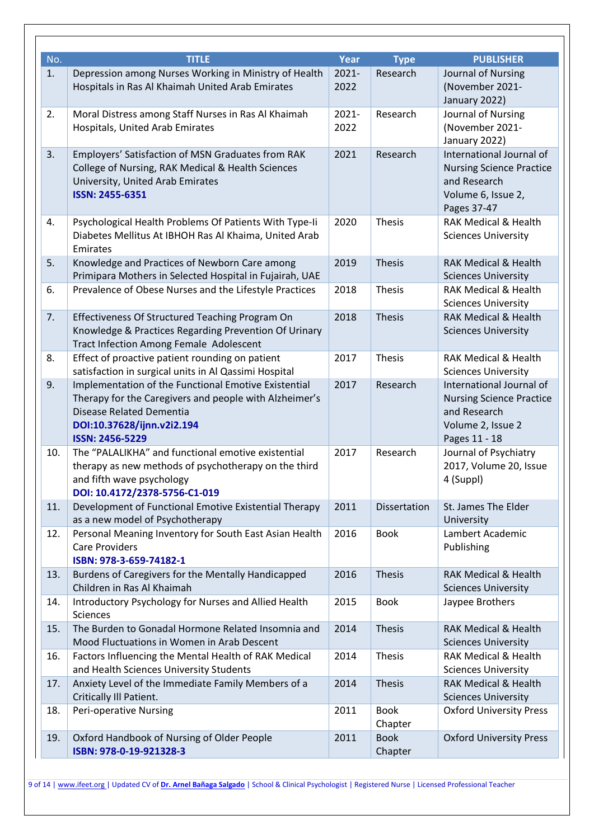| No. | <b>TITLE</b>                                                                                                                                                                                       | Year             | <b>Type</b>            | <b>PUBLISHER</b>                                                                                                  |
|-----|----------------------------------------------------------------------------------------------------------------------------------------------------------------------------------------------------|------------------|------------------------|-------------------------------------------------------------------------------------------------------------------|
| 1.  | Depression among Nurses Working in Ministry of Health<br>Hospitals in Ras Al Khaimah United Arab Emirates                                                                                          | $2021 -$<br>2022 | Research               | Journal of Nursing<br>(November 2021-<br>January 2022)                                                            |
| 2.  | Moral Distress among Staff Nurses in Ras Al Khaimah<br>Hospitals, United Arab Emirates                                                                                                             | $2021 -$<br>2022 | Research               | Journal of Nursing<br>(November 2021-<br>January 2022)                                                            |
| 3.  | Employers' Satisfaction of MSN Graduates from RAK<br>College of Nursing, RAK Medical & Health Sciences<br>University, United Arab Emirates<br><b>ISSN: 2455-6351</b>                               | 2021             | Research               | International Journal of<br><b>Nursing Science Practice</b><br>and Research<br>Volume 6, Issue 2,<br>Pages 37-47  |
| 4.  | Psychological Health Problems Of Patients With Type-Ii<br>Diabetes Mellitus At IBHOH Ras Al Khaima, United Arab<br>Emirates                                                                        | 2020             | <b>Thesis</b>          | <b>RAK Medical &amp; Health</b><br><b>Sciences University</b>                                                     |
| 5.  | Knowledge and Practices of Newborn Care among<br>Primipara Mothers in Selected Hospital in Fujairah, UAE                                                                                           | 2019             | <b>Thesis</b>          | <b>RAK Medical &amp; Health</b><br><b>Sciences University</b>                                                     |
| 6.  | Prevalence of Obese Nurses and the Lifestyle Practices                                                                                                                                             | 2018             | Thesis                 | <b>RAK Medical &amp; Health</b><br><b>Sciences University</b>                                                     |
| 7.  | Effectiveness Of Structured Teaching Program On<br>Knowledge & Practices Regarding Prevention Of Urinary<br>Tract Infection Among Female Adolescent                                                | 2018             | <b>Thesis</b>          | <b>RAK Medical &amp; Health</b><br><b>Sciences University</b>                                                     |
| 8.  | Effect of proactive patient rounding on patient<br>satisfaction in surgical units in Al Qassimi Hospital                                                                                           | 2017             | <b>Thesis</b>          | <b>RAK Medical &amp; Health</b><br><b>Sciences University</b>                                                     |
| 9.  | Implementation of the Functional Emotive Existential<br>Therapy for the Caregivers and people with Alzheimer's<br>Disease Related Dementia<br>DOI:10.37628/ijnn.v2i2.194<br><b>ISSN: 2456-5229</b> | 2017             | Research               | International Journal of<br><b>Nursing Science Practice</b><br>and Research<br>Volume 2, Issue 2<br>Pages 11 - 18 |
| 10. | The "PALALIKHA" and functional emotive existential<br>therapy as new methods of psychotherapy on the third<br>and fifth wave psychology<br>DOI: 10.4172/2378-5756-C1-019                           | 2017             | Research               | Journal of Psychiatry<br>2017, Volume 20, Issue<br>4 (Suppl)                                                      |
| 11. | Development of Functional Emotive Existential Therapy<br>as a new model of Psychotherapy                                                                                                           | 2011             | Dissertation           | St. James The Elder<br>University                                                                                 |
| 12. | Personal Meaning Inventory for South East Asian Health<br><b>Care Providers</b><br>ISBN: 978-3-659-74182-1                                                                                         | 2016             | <b>Book</b>            | Lambert Academic<br>Publishing                                                                                    |
| 13. | Burdens of Caregivers for the Mentally Handicapped<br>Children in Ras Al Khaimah                                                                                                                   | 2016             | <b>Thesis</b>          | <b>RAK Medical &amp; Health</b><br><b>Sciences University</b>                                                     |
| 14. | Introductory Psychology for Nurses and Allied Health<br><b>Sciences</b>                                                                                                                            | 2015             | <b>Book</b>            | Jaypee Brothers                                                                                                   |
| 15. | The Burden to Gonadal Hormone Related Insomnia and<br>Mood Fluctuations in Women in Arab Descent                                                                                                   | 2014             | <b>Thesis</b>          | <b>RAK Medical &amp; Health</b><br><b>Sciences University</b>                                                     |
| 16. | Factors Influencing the Mental Health of RAK Medical<br>and Health Sciences University Students                                                                                                    | 2014             | <b>Thesis</b>          | <b>RAK Medical &amp; Health</b><br><b>Sciences University</b>                                                     |
| 17. | Anxiety Level of the Immediate Family Members of a<br>Critically III Patient.                                                                                                                      | 2014             | <b>Thesis</b>          | <b>RAK Medical &amp; Health</b><br><b>Sciences University</b>                                                     |
| 18. | Peri-operative Nursing                                                                                                                                                                             | 2011             | <b>Book</b><br>Chapter | <b>Oxford University Press</b>                                                                                    |
| 19. | Oxford Handbook of Nursing of Older People<br>ISBN: 978-0-19-921328-3                                                                                                                              | 2011             | <b>Book</b><br>Chapter | <b>Oxford University Press</b>                                                                                    |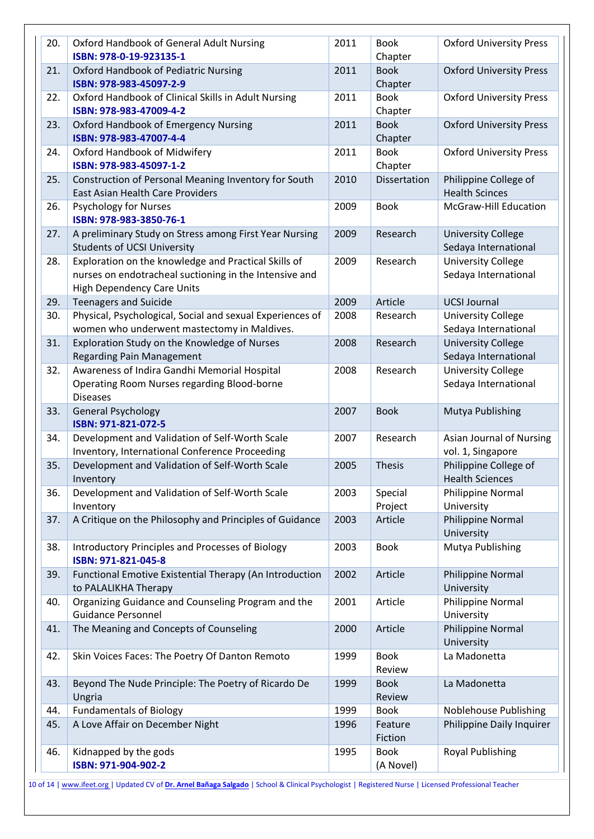| 20. | Oxford Handbook of General Adult Nursing<br>ISBN: 978-0-19-923135-1                                                                          | 2011 | <b>Book</b><br>Chapter   | <b>Oxford University Press</b>                    |
|-----|----------------------------------------------------------------------------------------------------------------------------------------------|------|--------------------------|---------------------------------------------------|
| 21. | <b>Oxford Handbook of Pediatric Nursing</b><br>ISBN: 978-983-45097-2-9                                                                       | 2011 | <b>Book</b><br>Chapter   | <b>Oxford University Press</b>                    |
| 22. | Oxford Handbook of Clinical Skills in Adult Nursing<br>ISBN: 978-983-47009-4-2                                                               | 2011 | <b>Book</b><br>Chapter   | <b>Oxford University Press</b>                    |
| 23. | Oxford Handbook of Emergency Nursing<br>ISBN: 978-983-47007-4-4                                                                              | 2011 | <b>Book</b><br>Chapter   | <b>Oxford University Press</b>                    |
| 24. | Oxford Handbook of Midwifery<br>ISBN: 978-983-45097-1-2                                                                                      | 2011 | <b>Book</b><br>Chapter   | <b>Oxford University Press</b>                    |
| 25. | Construction of Personal Meaning Inventory for South<br>East Asian Health Care Providers                                                     | 2010 | Dissertation             | Philippine College of<br><b>Health Scinces</b>    |
| 26. | <b>Psychology for Nurses</b><br>ISBN: 978-983-3850-76-1                                                                                      | 2009 | <b>Book</b>              | McGraw-Hill Education                             |
| 27. | A preliminary Study on Stress among First Year Nursing<br><b>Students of UCSI University</b>                                                 | 2009 | Research                 | <b>University College</b><br>Sedaya International |
| 28. | Exploration on the knowledge and Practical Skills of<br>nurses on endotracheal suctioning in the Intensive and<br>High Dependency Care Units | 2009 | Research                 | <b>University College</b><br>Sedaya International |
| 29. | <b>Teenagers and Suicide</b>                                                                                                                 | 2009 | Article                  | <b>UCSI Journal</b>                               |
| 30. | Physical, Psychological, Social and sexual Experiences of<br>women who underwent mastectomy in Maldives.                                     | 2008 | Research                 | <b>University College</b><br>Sedaya International |
| 31. | Exploration Study on the Knowledge of Nurses<br><b>Regarding Pain Management</b>                                                             | 2008 | Research                 | <b>University College</b><br>Sedaya International |
| 32. | Awareness of Indira Gandhi Memorial Hospital<br>Operating Room Nurses regarding Blood-borne<br><b>Diseases</b>                               | 2008 | Research                 | <b>University College</b><br>Sedaya International |
| 33. | <b>General Psychology</b><br>ISBN: 971-821-072-5                                                                                             | 2007 | <b>Book</b>              | Mutya Publishing                                  |
| 34. | Development and Validation of Self-Worth Scale<br>Inventory, International Conference Proceeding                                             | 2007 | Research                 | Asian Journal of Nursing<br>vol. 1, Singapore     |
| 35. | Development and Validation of Self-Worth Scale<br>Inventory                                                                                  | 2005 | Thesis                   | Philippine College of<br><b>Health Sciences</b>   |
| 36. | Development and Validation of Self-Worth Scale<br>Inventory                                                                                  | 2003 | Special<br>Project       | Philippine Normal<br>University                   |
| 37. | A Critique on the Philosophy and Principles of Guidance                                                                                      | 2003 | Article                  | Philippine Normal<br>University                   |
| 38. | Introductory Principles and Processes of Biology<br>ISBN: 971-821-045-8                                                                      | 2003 | <b>Book</b>              | Mutya Publishing                                  |
| 39. | Functional Emotive Existential Therapy (An Introduction<br>to PALALIKHA Therapy                                                              | 2002 | Article                  | Philippine Normal<br>University                   |
| 40. | Organizing Guidance and Counseling Program and the<br><b>Guidance Personnel</b>                                                              | 2001 | Article                  | Philippine Normal<br>University                   |
| 41. | The Meaning and Concepts of Counseling                                                                                                       | 2000 | Article                  | Philippine Normal<br>University                   |
| 42. | Skin Voices Faces: The Poetry Of Danton Remoto                                                                                               | 1999 | <b>Book</b><br>Review    | La Madonetta                                      |
| 43. | Beyond The Nude Principle: The Poetry of Ricardo De<br>Ungria                                                                                | 1999 | <b>Book</b><br>Review    | La Madonetta                                      |
| 44. | <b>Fundamentals of Biology</b>                                                                                                               | 1999 | <b>Book</b>              | Noblehouse Publishing                             |
| 45. | A Love Affair on December Night                                                                                                              | 1996 | Feature<br>Fiction       | Philippine Daily Inquirer                         |
| 46. | Kidnapped by the gods<br>ISBN: 971-904-902-2                                                                                                 | 1995 | <b>Book</b><br>(A Novel) | <b>Royal Publishing</b>                           |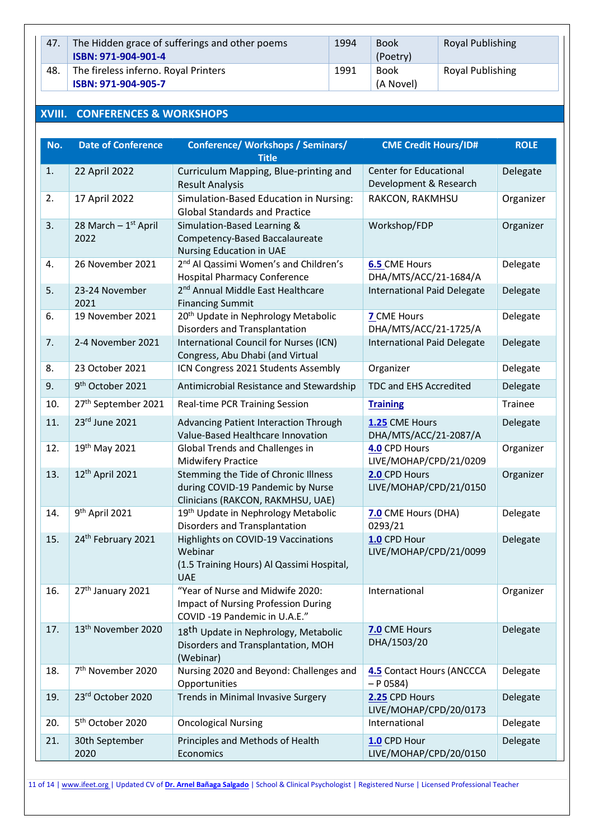| 47. | The Hidden grace of sufferings and other poems<br>ISBN: 971-904-901-4 | 1994 | <b>Book</b><br>(Poetry)  | <b>Royal Publishing</b> |
|-----|-----------------------------------------------------------------------|------|--------------------------|-------------------------|
| 48. | The fireless inferno. Royal Printers<br>ISBN: 971-904-905-7           | 1991 | <b>Book</b><br>(A Novel) | <b>Royal Publishing</b> |

# **XVIII. CONFERENCES & WORKSHOPS**

| No. | <b>Date of Conference</b>       | <b>Conference/ Workshops / Seminars/</b>                                                                       | <b>CME Credit Hours/ID#</b>                             | <b>ROLE</b> |
|-----|---------------------------------|----------------------------------------------------------------------------------------------------------------|---------------------------------------------------------|-------------|
|     |                                 | <b>Title</b>                                                                                                   |                                                         |             |
| 1.  | 22 April 2022                   | Curriculum Mapping, Blue-printing and<br><b>Result Analysis</b>                                                | <b>Center for Educational</b><br>Development & Research | Delegate    |
| 2.  | 17 April 2022                   | Simulation-Based Education in Nursing:<br><b>Global Standards and Practice</b>                                 | RAKCON, RAKMHSU                                         | Organizer   |
| 3.  | 28 March - 1st April<br>2022    | Simulation-Based Learning &<br>Competency-Based Baccalaureate<br><b>Nursing Education in UAE</b>               | Workshop/FDP                                            | Organizer   |
| 4.  | 26 November 2021                | 2 <sup>nd</sup> Al Qassimi Women's and Children's<br><b>Hospital Pharmacy Conference</b>                       | <b>6.5 CME Hours</b><br>DHA/MTS/ACC/21-1684/A           | Delegate    |
| 5.  | 23-24 November<br>2021          | 2 <sup>nd</sup> Annual Middle East Healthcare<br><b>Financing Summit</b>                                       | <b>International Paid Delegate</b>                      | Delegate    |
| 6.  | 19 November 2021                | 20 <sup>th</sup> Update in Nephrology Metabolic<br>Disorders and Transplantation                               | 7 CME Hours<br>DHA/MTS/ACC/21-1725/A                    | Delegate    |
| 7.  | 2-4 November 2021               | International Council for Nurses (ICN)<br>Congress, Abu Dhabi (and Virtual                                     | <b>International Paid Delegate</b>                      | Delegate    |
| 8.  | 23 October 2021                 | ICN Congress 2021 Students Assembly                                                                            | Organizer                                               | Delegate    |
| 9.  | 9 <sup>th</sup> October 2021    | Antimicrobial Resistance and Stewardship                                                                       | TDC and EHS Accredited                                  | Delegate    |
| 10. | 27 <sup>th</sup> September 2021 | Real-time PCR Training Session                                                                                 | <b>Training</b>                                         | Trainee     |
| 11. | 23rd June 2021                  | Advancing Patient Interaction Through<br>Value-Based Healthcare Innovation                                     | 1.25 CME Hours<br>DHA/MTS/ACC/21-2087/A                 | Delegate    |
| 12. | 19th May 2021                   | Global Trends and Challenges in<br><b>Midwifery Practice</b>                                                   | 4.0 CPD Hours<br>LIVE/MOHAP/CPD/21/0209                 | Organizer   |
| 13. | 12th April 2021                 | Stemming the Tide of Chronic Illness<br>during COVID-19 Pandemic by Nurse<br>Clinicians (RAKCON, RAKMHSU, UAE) | 2.0 CPD Hours<br>LIVE/MOHAP/CPD/21/0150                 | Organizer   |
| 14. | 9 <sup>th</sup> April 2021      | 19th Update in Nephrology Metabolic<br>Disorders and Transplantation                                           | 7.0 CME Hours (DHA)<br>0293/21                          | Delegate    |
| 15. | 24th February 2021              | Highlights on COVID-19 Vaccinations<br>Webinar<br>(1.5 Training Hours) Al Qassimi Hospital,<br><b>UAE</b>      | 1.0 CPD Hour<br>LIVE/MOHAP/CPD/21/0099                  | Delegate    |
| 16. | 27th January 2021               | "Year of Nurse and Midwife 2020:<br>Impact of Nursing Profession During<br>COVID-19 Pandemic in U.A.E."        | International                                           | Organizer   |
| 17. | 13 <sup>th</sup> November 2020  | 18 <sup>th</sup> Update in Nephrology, Metabolic<br>Disorders and Transplantation, MOH<br>(Webinar)            | 7.0 CME Hours<br>DHA/1503/20                            | Delegate    |
| 18. | 7 <sup>th</sup> November 2020   | Nursing 2020 and Beyond: Challenges and<br>Opportunities                                                       | <b>4.5</b> Contact Hours (ANCCCA<br>$- P 0584$          | Delegate    |
| 19. | 23rd October 2020               | Trends in Minimal Invasive Surgery                                                                             | 2.25 CPD Hours<br>LIVE/MOHAP/CPD/20/0173                | Delegate    |
| 20. | 5 <sup>th</sup> October 2020    | <b>Oncological Nursing</b>                                                                                     | International                                           | Delegate    |
| 21. | 30th September<br>2020          | Principles and Methods of Health<br>Economics                                                                  | 1.0 CPD Hour<br>LIVE/MOHAP/CPD/20/0150                  | Delegate    |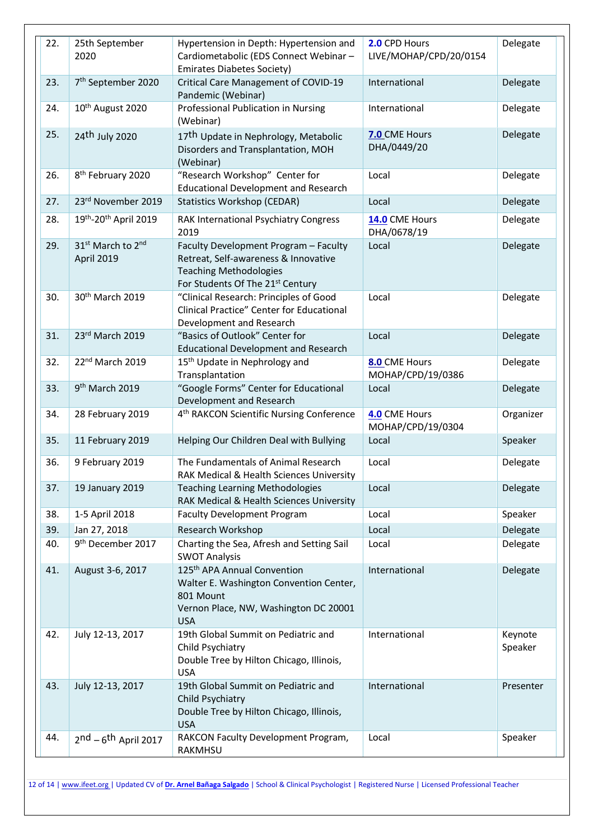| 22. | 25th September<br>2020                                  | Hypertension in Depth: Hypertension and<br>Cardiometabolic (EDS Connect Webinar -<br><b>Emirates Diabetes Society)</b>                                 | 2.0 CPD Hours<br>LIVE/MOHAP/CPD/20/0154 | Delegate           |
|-----|---------------------------------------------------------|--------------------------------------------------------------------------------------------------------------------------------------------------------|-----------------------------------------|--------------------|
| 23. | 7 <sup>th</sup> September 2020                          | <b>Critical Care Management of COVID-19</b><br>Pandemic (Webinar)                                                                                      | International                           | Delegate           |
| 24. | 10 <sup>th</sup> August 2020                            | Professional Publication in Nursing<br>(Webinar)                                                                                                       | International                           | Delegate           |
| 25. | 24 <sup>th</sup> July 2020                              | 17 <sup>th</sup> Update in Nephrology, Metabolic<br>Disorders and Transplantation, MOH<br>(Webinar)                                                    | 7.0 CME Hours<br>DHA/0449/20            | Delegate           |
| 26. | 8 <sup>th</sup> February 2020                           | "Research Workshop" Center for<br><b>Educational Development and Research</b>                                                                          | Local                                   | Delegate           |
| 27. | 23rd November 2019                                      | <b>Statistics Workshop (CEDAR)</b>                                                                                                                     | Local                                   | Delegate           |
| 28. | 19th-20th April 2019                                    | RAK International Psychiatry Congress<br>2019                                                                                                          | 14.0 CME Hours<br>DHA/0678/19           | Delegate           |
| 29. | 31 <sup>st</sup> March to 2 <sup>nd</sup><br>April 2019 | Faculty Development Program - Faculty<br>Retreat, Self-awareness & Innovative<br><b>Teaching Methodologies</b><br>For Students Of The 21st Century     | Local                                   | Delegate           |
| 30. | 30 <sup>th</sup> March 2019                             | "Clinical Research: Principles of Good<br>Clinical Practice" Center for Educational<br>Development and Research                                        | Local                                   | Delegate           |
| 31. | 23rd March 2019                                         | "Basics of Outlook" Center for<br><b>Educational Development and Research</b>                                                                          | Local                                   | Delegate           |
| 32. | 22nd March 2019                                         | 15 <sup>th</sup> Update in Nephrology and<br>Transplantation                                                                                           | 8.0 CME Hours<br>MOHAP/CPD/19/0386      | Delegate           |
| 33. | 9 <sup>th</sup> March 2019                              | "Google Forms" Center for Educational<br>Development and Research                                                                                      | Local                                   | Delegate           |
| 34. | 28 February 2019                                        | 4 <sup>th</sup> RAKCON Scientific Nursing Conference                                                                                                   | 4.0 CME Hours<br>MOHAP/CPD/19/0304      | Organizer          |
| 35. | 11 February 2019                                        | Helping Our Children Deal with Bullying                                                                                                                | Local                                   | Speaker            |
| 36. | 9 February 2019                                         | The Fundamentals of Animal Research<br>RAK Medical & Health Sciences University                                                                        | Local                                   | Delegate           |
| 37. | 19 January 2019                                         | <b>Teaching Learning Methodologies</b><br>RAK Medical & Health Sciences University                                                                     | Local                                   | Delegate           |
| 38. | 1-5 April 2018                                          | <b>Faculty Development Program</b>                                                                                                                     | Local                                   | Speaker            |
| 39. | Jan 27, 2018                                            | Research Workshop                                                                                                                                      | Local                                   | Delegate           |
| 40. | 9 <sup>th</sup> December 2017                           | Charting the Sea, Afresh and Setting Sail<br><b>SWOT Analysis</b>                                                                                      | Local                                   | Delegate           |
| 41. | August 3-6, 2017                                        | 125 <sup>th</sup> APA Annual Convention<br>Walter E. Washington Convention Center,<br>801 Mount<br>Vernon Place, NW, Washington DC 20001<br><b>USA</b> | International                           | Delegate           |
| 42. | July 12-13, 2017                                        | 19th Global Summit on Pediatric and<br>Child Psychiatry<br>Double Tree by Hilton Chicago, Illinois,<br><b>USA</b>                                      | International                           | Keynote<br>Speaker |
| 43. | July 12-13, 2017                                        | 19th Global Summit on Pediatric and<br>Child Psychiatry<br>Double Tree by Hilton Chicago, Illinois,<br><b>USA</b>                                      | International                           | Presenter          |
| 44. | $2nd - 6th$ April 2017                                  | RAKCON Faculty Development Program,<br>RAKMHSU                                                                                                         | Local                                   | Speaker            |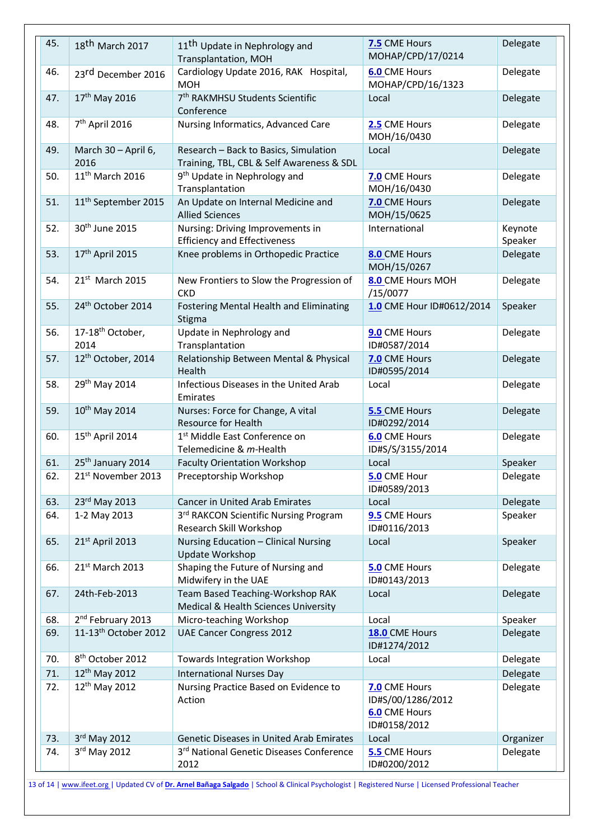| 45. | 18 <sup>th</sup> March 2017          | 11 <sup>th</sup> Update in Nephrology and<br>Transplantation, MOH                  | 7.5 CME Hours<br>MOHAP/CPD/17/0214                                         | Delegate           |
|-----|--------------------------------------|------------------------------------------------------------------------------------|----------------------------------------------------------------------------|--------------------|
| 46. | 23rd December 2016                   | Cardiology Update 2016, RAK Hospital,<br><b>MOH</b>                                | <b>6.0</b> CME Hours<br>MOHAP/CPD/16/1323                                  | Delegate           |
| 47. | 17 <sup>th</sup> May 2016            | 7 <sup>th</sup> RAKMHSU Students Scientific<br>Conference                          | Local                                                                      | Delegate           |
| 48. | 7 <sup>th</sup> April 2016           | Nursing Informatics, Advanced Care                                                 | 2.5 CME Hours<br>MOH/16/0430                                               | Delegate           |
| 49. | March 30 - April 6,<br>2016          | Research - Back to Basics, Simulation<br>Training, TBL, CBL & Self Awareness & SDL | Local                                                                      | Delegate           |
| 50. | 11 <sup>th</sup> March 2016          | 9 <sup>th</sup> Update in Nephrology and<br>Transplantation                        | 7.0 CME Hours<br>MOH/16/0430                                               | Delegate           |
| 51. | 11 <sup>th</sup> September 2015      | An Update on Internal Medicine and<br><b>Allied Sciences</b>                       | 7.0 CME Hours<br>MOH/15/0625                                               | Delegate           |
| 52. | 30 <sup>th</sup> June 2015           | Nursing: Driving Improvements in<br><b>Efficiency and Effectiveness</b>            | International                                                              | Keynote<br>Speaker |
| 53. | 17th April 2015                      | Knee problems in Orthopedic Practice                                               | 8.0 CME Hours<br>MOH/15/0267                                               | Delegate           |
| 54. | 21st March 2015                      | New Frontiers to Slow the Progression of<br><b>CKD</b>                             | 8.0 CME Hours MOH<br>/15/0077                                              | Delegate           |
| 55. | 24 <sup>th</sup> October 2014        | Fostering Mental Health and Eliminating<br>Stigma                                  | 1.0 CME Hour ID#0612/2014                                                  | Speaker            |
| 56. | 17-18 <sup>th</sup> October,<br>2014 | Update in Nephrology and<br>Transplantation                                        | 9.0 CME Hours<br>ID#0587/2014                                              | Delegate           |
| 57. | 12 <sup>th</sup> October, 2014       | Relationship Between Mental & Physical<br>Health                                   | 7.0 CME Hours<br>ID#0595/2014                                              | Delegate           |
| 58. | 29th May 2014                        | Infectious Diseases in the United Arab<br>Emirates                                 | Local                                                                      | Delegate           |
| 59. | 10 <sup>th</sup> May 2014            | Nurses: Force for Change, A vital<br><b>Resource for Health</b>                    | 5.5 CME Hours<br>ID#0292/2014                                              | Delegate           |
| 60. | 15 <sup>th</sup> April 2014          | 1 <sup>st</sup> Middle East Conference on<br>Telemedicine & m-Health               | <b>6.0</b> CME Hours<br>ID#S/S/3155/2014                                   | Delegate           |
| 61. | 25th January 2014                    | <b>Faculty Orientation Workshop</b>                                                | Local                                                                      | Speaker            |
| 62. | 21st November 2013                   | Preceptorship Workshop                                                             | 5.0 CME Hour<br>ID#0589/2013                                               | Delegate           |
| 63. | 23rd May 2013                        | <b>Cancer in United Arab Emirates</b>                                              | Local                                                                      | Delegate           |
| 64. | 1-2 May 2013                         | 3rd RAKCON Scientific Nursing Program<br>Research Skill Workshop                   | 9.5 CME Hours<br>ID#0116/2013                                              | Speaker            |
| 65. | 21st April 2013                      | Nursing Education - Clinical Nursing<br><b>Update Workshop</b>                     | Local                                                                      | Speaker            |
| 66. | 21st March 2013                      | Shaping the Future of Nursing and<br>Midwifery in the UAE                          | <b>5.0 CME Hours</b><br>ID#0143/2013                                       | Delegate           |
| 67. | 24th-Feb-2013                        | Team Based Teaching-Workshop RAK<br>Medical & Health Sciences University           | Local                                                                      | Delegate           |
| 68. | 2 <sup>nd</sup> February 2013        | Micro-teaching Workshop                                                            | Local                                                                      | Speaker            |
| 69. | 11-13 <sup>th</sup> October 2012     | <b>UAE Cancer Congress 2012</b>                                                    | 18.0 CME Hours<br>ID#1274/2012                                             | Delegate           |
| 70. | 8 <sup>th</sup> October 2012         | <b>Towards Integration Workshop</b>                                                | Local                                                                      | Delegate           |
| 71. | 12 <sup>th</sup> May 2012            | <b>International Nurses Day</b>                                                    |                                                                            | Delegate           |
| 72. | 12 <sup>th</sup> May 2012            | Nursing Practice Based on Evidence to<br>Action                                    | 7.0 CME Hours<br>ID#S/00/1286/2012<br><b>6.0</b> CME Hours<br>ID#0158/2012 | Delegate           |
| 73. | 3rd May 2012                         | Genetic Diseases in United Arab Emirates                                           | Local                                                                      | Organizer          |
| 74. | 3rd May 2012                         | 3rd National Genetic Diseases Conference<br>2012                                   | 5.5 CME Hours<br>ID#0200/2012                                              | Delegate           |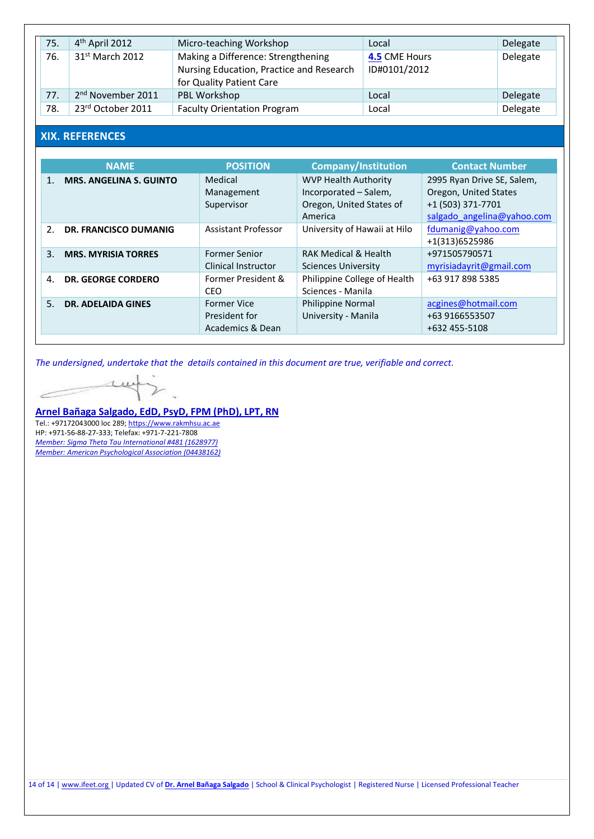| 75. | 4 <sup>th</sup> April 2012    | Micro-teaching Workshop                                                                                    | Local                         | Delegate |
|-----|-------------------------------|------------------------------------------------------------------------------------------------------------|-------------------------------|----------|
| 76. | 31 <sup>st</sup> March 2012   | Making a Difference: Strengthening<br>Nursing Education, Practice and Research<br>for Quality Patient Care | 4.5 CME Hours<br>ID#0101/2012 | Delegate |
| 77. | 2 <sup>nd</sup> November 2011 | PBL Workshop                                                                                               | Local                         | Delegate |
| 78. | 23rd October 2011             | <b>Faculty Orientation Program</b>                                                                         | Local                         | Delegate |

# **XIX. REFERENCES**

|                | <b>NAME</b>                    | <b>POSITION</b>                                         | <b>Company/Institution</b>                                                                  | <b>Contact Number</b>                                                                                  |
|----------------|--------------------------------|---------------------------------------------------------|---------------------------------------------------------------------------------------------|--------------------------------------------------------------------------------------------------------|
| 1.             | <b>MRS. ANGELINA S. GUINTO</b> | Medical<br>Management<br>Supervisor                     | <b>WVP Health Authority</b><br>Incorporated - Salem,<br>Oregon, United States of<br>America | 2995 Ryan Drive SE, Salem,<br>Oregon, United States<br>+1 (503) 371-7701<br>salgado angelina@yahoo.com |
| 2.             | <b>DR. FRANCISCO DUMANIG</b>   | Assistant Professor                                     | University of Hawaii at Hilo                                                                | fdumanig@yahoo.com<br>+1(313)6525986                                                                   |
| 3.             | <b>MRS. MYRISIA TORRES</b>     | <b>Former Senior</b><br><b>Clinical Instructor</b>      | <b>RAK Medical &amp; Health</b><br><b>Sciences University</b>                               | +971505790571<br>myrisiadayrit@gmail.com                                                               |
| $\mathbf{A}$ . | <b>DR. GEORGE CORDERO</b>      | Former President &<br><b>CEO</b>                        | Philippine College of Health<br>Sciences - Manila                                           | +63 917 898 5385                                                                                       |
| 5.             | <b>DR. ADELAIDA GINES</b>      | <b>Former Vice</b><br>President for<br>Academics & Dean | <b>Philippine Normal</b><br>University - Manila                                             | acgines@hotmail.com<br>+63 9166553507<br>+632 455-5108                                                 |

*The undersigned, undertake that the details contained in this document are true, verifiable and correct.*

we  $\mathcal{V}$ è

**[Arnel Bañaga Salgado, EdD, PsyD, FPM \(PhD\), LPT, RN](http://arnelsalgado.com/)** Tel.: +97172043000 loc 289; [https://www.rakmhsu.ac.ae](https://www.rakmhsu.ac.ae/faculty-and-staff/rakcon/225/dr-arnel-banaga-salgado) HP: +971-56-88-27-333; Telefax: +971-7-221-7808 *[Member: Sigma Theta Tau International #481 \(1628977\)](http://arnelsalgado.com/)  [Member: American Psychological Association \(04438162\)](http://arnelsalgado.com/)*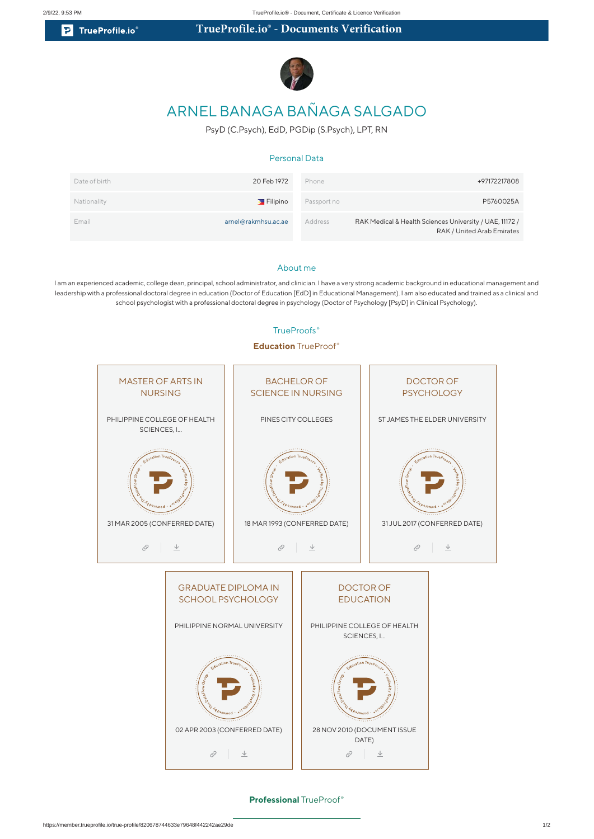**P** TrueProfile.io

# **TrueProfile.io® - Documents Verification**



# ARNEL BANAGA BAÑAGA SALGADO

PsyD (C.Psych), EdD, PGDip (S.Psych), LPT, RN

#### Personal Data

| Date of birth | 20 Feb 1972                    | Phone       | +97172217808                                                                          |
|---------------|--------------------------------|-------------|---------------------------------------------------------------------------------------|
| Nationality   | $\blacktriangleright$ Filipino | Passport no | P5760025A                                                                             |
| Email         | arnel@rakmhsu.ac.ae            | Address     | RAK Medical & Health Sciences University / UAE, 11172 /<br>RAK / United Arab Emirates |

#### About me

I am an experienced academic, college dean, principal, school administrator, and clinician. I have a very strong academic background in educational management and leadership with a professional doctoral degree in education (Doctor of Education [EdD] in Educational Management). I am also educated and trained as a clinical and school psychologist with a professional doctoral degree in psychology (Doctor of Psychology [PsyD] in Clinical Psychology).

# **Education** TrueProof ® MASTER OF ARTS IN BACHELOR OF DOCTOR OF NURSING SCIENCE IN NURSING **PSYCHOLOGY** PHILIPPINE COLLEGE OF HEALTH PINES CITY COLLEGES ST JAMES THE ELDER UNIVERSITY SCIENCES, I... 31 MAR 2005 (CONFERRED DATE) 18 MAR 1993 (CONFERRED DATE) 31 JUL 2017 (CONFERRED DATE)  $\varphi$   $\perp$  $\hat{\mathcal{O}}$  $\frac{1}{2}$  $\oslash$   $\perp$ GRADUATE DIPLOMA IN DOCTOR OF SCHOOL PSYCHOLOGY EDUCATION PHILIPPINE NORMAL UNIVERSITY PHILIPPINE COLLEGE OF HEALTH SCIENCES, I… 02 APR 2003 (CONFERRED DATE) 28 NOV 2010 (DOCUMENT ISSUE DATE)

#### TrueProofs<sup>®</sup>

**Professional** TrueProof ®

 $\oslash$   $\perp$ 

 $\oslash$   $\perp$